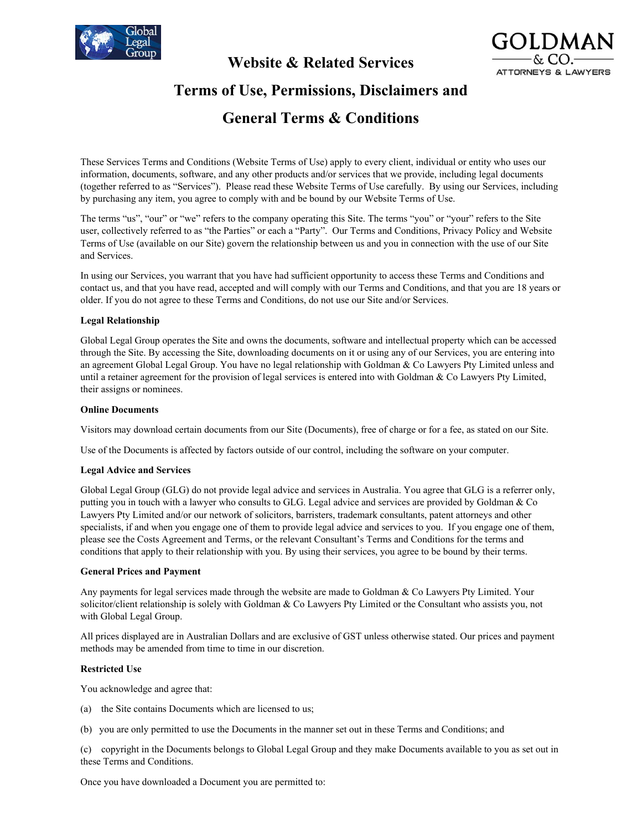

## **Website & Related Services**



# **Terms of Use, Permissions, Disclaimers and**

## **General Terms & Conditions**

These Services Terms and Conditions (Website Terms of Use) apply to every client, individual or entity who uses our information, documents, software, and any other products and/or services that we provide, including legal documents (together referred to as "Services"). Please read these Website Terms of Use carefully. By using our Services, including by purchasing any item, you agree to comply with and be bound by our Website Terms of Use.

The terms "us", "our" or "we" refers to the company operating this Site. The terms "you" or "your" refers to the Site user, collectively referred to as "the Parties" or each a "Party". Our Terms and Conditions, Privacy Policy and Website Terms of Use (available on our Site) govern the relationship between us and you in connection with the use of our Site and Services.

In using our Services, you warrant that you have had sufficient opportunity to access these Terms and Conditions and contact us, and that you have read, accepted and will comply with our Terms and Conditions, and that you are 18 years or older. If you do not agree to these Terms and Conditions, do not use our Site and/or Services.

## **Legal Relationship**

Global Legal Group operates the Site and owns the documents, software and intellectual property which can be accessed through the Site. By accessing the Site, downloading documents on it or using any of our Services, you are entering into an agreement Global Legal Group. You have no legal relationship with Goldman & Co Lawyers Pty Limited unless and until a retainer agreement for the provision of legal services is entered into with Goldman & Co Lawyers Pty Limited, their assigns or nominees.

## **Online Documents**

Visitors may download certain documents from our Site (Documents), free of charge or for a fee, as stated on our Site.

Use of the Documents is affected by factors outside of our control, including the software on your computer.

## **Legal Advice and Services**

Global Legal Group (GLG) do not provide legal advice and services in Australia. You agree that GLG is a referrer only, putting you in touch with a lawyer who consults to GLG. Legal advice and services are provided by Goldman & Co Lawyers Pty Limited and/or our network of solicitors, barristers, trademark consultants, patent attorneys and other specialists, if and when you engage one of them to provide legal advice and services to you. If you engage one of them, please see the Costs Agreement and Terms, or the relevant Consultant's Terms and Conditions for the terms and conditions that apply to their relationship with you. By using their services, you agree to be bound by their terms.

## **General Prices and Payment**

Any payments for legal services made through the website are made to Goldman & Co Lawyers Pty Limited. Your solicitor/client relationship is solely with Goldman & Co Lawyers Pty Limited or the Consultant who assists you, not with Global Legal Group.

All prices displayed are in Australian Dollars and are exclusive of GST unless otherwise stated. Our prices and payment methods may be amended from time to time in our discretion.

## **Restricted Use**

You acknowledge and agree that:

- (a) the Site contains Documents which are licensed to us;
- (b) you are only permitted to use the Documents in the manner set out in these Terms and Conditions; and

(c) copyright in the Documents belongs to Global Legal Group and they make Documents available to you as set out in these Terms and Conditions.

Once you have downloaded a Document you are permitted to: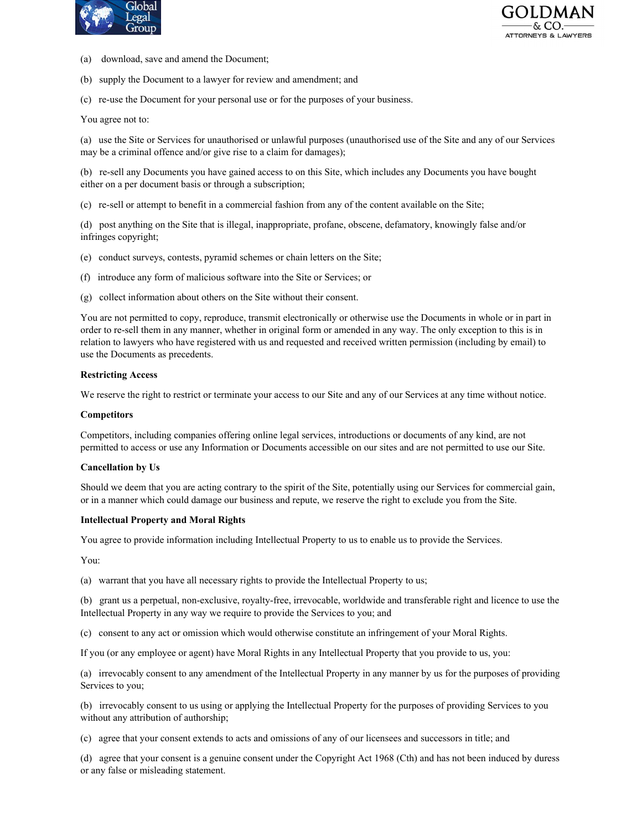



- (a) download, save and amend the Document;
- (b) supply the Document to a lawyer for review and amendment; and
- (c) re-use the Document for your personal use or for the purposes of your business.

You agree not to:

(a) use the Site or Services for unauthorised or unlawful purposes (unauthorised use of the Site and any of our Services may be a criminal offence and/or give rise to a claim for damages);

(b) re-sell any Documents you have gained access to on this Site, which includes any Documents you have bought either on a per document basis or through a subscription;

(c) re-sell or attempt to benefit in a commercial fashion from any of the content available on the Site;

(d) post anything on the Site that is illegal, inappropriate, profane, obscene, defamatory, knowingly false and/or infringes copyright;

- (e) conduct surveys, contests, pyramid schemes or chain letters on the Site;
- (f) introduce any form of malicious software into the Site or Services; or
- (g) collect information about others on the Site without their consent.

You are not permitted to copy, reproduce, transmit electronically or otherwise use the Documents in whole or in part in order to re-sell them in any manner, whether in original form or amended in any way. The only exception to this is in relation to lawyers who have registered with us and requested and received written permission (including by email) to use the Documents as precedents.

### **Restricting Access**

We reserve the right to restrict or terminate your access to our Site and any of our Services at any time without notice.

#### **Competitors**

Competitors, including companies offering online legal services, introductions or documents of any kind, are not permitted to access or use any Information or Documents accessible on our sites and are not permitted to use our Site.

#### **Cancellation by Us**

Should we deem that you are acting contrary to the spirit of the Site, potentially using our Services for commercial gain, or in a manner which could damage our business and repute, we reserve the right to exclude you from the Site.

#### **Intellectual Property and Moral Rights**

You agree to provide information including Intellectual Property to us to enable us to provide the Services.

You:

(a) warrant that you have all necessary rights to provide the Intellectual Property to us;

(b) grant us a perpetual, non-exclusive, royalty-free, irrevocable, worldwide and transferable right and licence to use the Intellectual Property in any way we require to provide the Services to you; and

(c) consent to any act or omission which would otherwise constitute an infringement of your Moral Rights.

If you (or any employee or agent) have Moral Rights in any Intellectual Property that you provide to us, you:

(a) irrevocably consent to any amendment of the Intellectual Property in any manner by us for the purposes of providing Services to you;

(b) irrevocably consent to us using or applying the Intellectual Property for the purposes of providing Services to you without any attribution of authorship;

(c) agree that your consent extends to acts and omissions of any of our licensees and successors in title; and

(d) agree that your consent is a genuine consent under the Copyright Act 1968 (Cth) and has not been induced by duress or any false or misleading statement.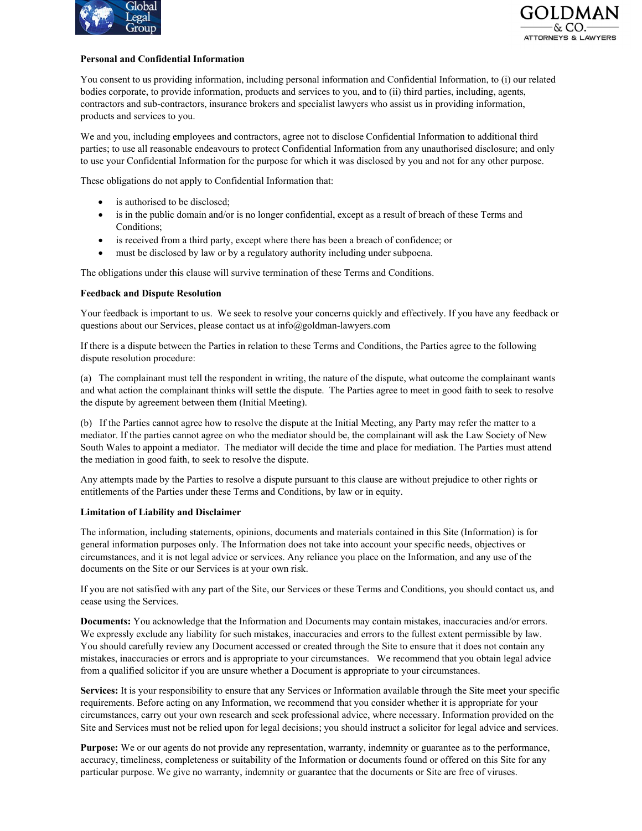



## **Personal and Confidential Information**

You consent to us providing information, including personal information and Confidential Information, to (i) our related bodies corporate, to provide information, products and services to you, and to (ii) third parties, including, agents, contractors and sub-contractors, insurance brokers and specialist lawyers who assist us in providing information, products and services to you.

We and you, including employees and contractors, agree not to disclose Confidential Information to additional third parties; to use all reasonable endeavours to protect Confidential Information from any unauthorised disclosure; and only to use your Confidential Information for the purpose for which it was disclosed by you and not for any other purpose.

These obligations do not apply to Confidential Information that:

- is authorised to be disclosed;
- is in the public domain and/or is no longer confidential, except as a result of breach of these Terms and Conditions;
- is received from a third party, except where there has been a breach of confidence; or
- must be disclosed by law or by a regulatory authority including under subpoena.

The obligations under this clause will survive termination of these Terms and Conditions.

## **Feedback and Dispute Resolution**

Your feedback is important to us. We seek to resolve your concerns quickly and effectively. If you have any feedback or questions about our Services, please contact us at info@goldman-lawyers.com

If there is a dispute between the Parties in relation to these Terms and Conditions, the Parties agree to the following dispute resolution procedure:

(a) The complainant must tell the respondent in writing, the nature of the dispute, what outcome the complainant wants and what action the complainant thinks will settle the dispute. The Parties agree to meet in good faith to seek to resolve the dispute by agreement between them (Initial Meeting).

(b) If the Parties cannot agree how to resolve the dispute at the Initial Meeting, any Party may refer the matter to a mediator. If the parties cannot agree on who the mediator should be, the complainant will ask the Law Society of New South Wales to appoint a mediator. The mediator will decide the time and place for mediation. The Parties must attend the mediation in good faith, to seek to resolve the dispute.

Any attempts made by the Parties to resolve a dispute pursuant to this clause are without prejudice to other rights or entitlements of the Parties under these Terms and Conditions, by law or in equity.

## **Limitation of Liability and Disclaimer**

The information, including statements, opinions, documents and materials contained in this Site (Information) is for general information purposes only. The Information does not take into account your specific needs, objectives or circumstances, and it is not legal advice or services. Any reliance you place on the Information, and any use of the documents on the Site or our Services is at your own risk.

If you are not satisfied with any part of the Site, our Services or these Terms and Conditions, you should contact us, and cease using the Services.

**Documents:** You acknowledge that the Information and Documents may contain mistakes, inaccuracies and/or errors. We expressly exclude any liability for such mistakes, inaccuracies and errors to the fullest extent permissible by law. You should carefully review any Document accessed or created through the Site to ensure that it does not contain any mistakes, inaccuracies or errors and is appropriate to your circumstances. We recommend that you obtain legal advice from a qualified solicitor if you are unsure whether a Document is appropriate to your circumstances.

**Services:** It is your responsibility to ensure that any Services or Information available through the Site meet your specific requirements. Before acting on any Information, we recommend that you consider whether it is appropriate for your circumstances, carry out your own research and seek professional advice, where necessary. Information provided on the Site and Services must not be relied upon for legal decisions; you should instruct a solicitor for legal advice and services.

**Purpose:** We or our agents do not provide any representation, warranty, indemnity or guarantee as to the performance, accuracy, timeliness, completeness or suitability of the Information or documents found or offered on this Site for any particular purpose. We give no warranty, indemnity or guarantee that the documents or Site are free of viruses.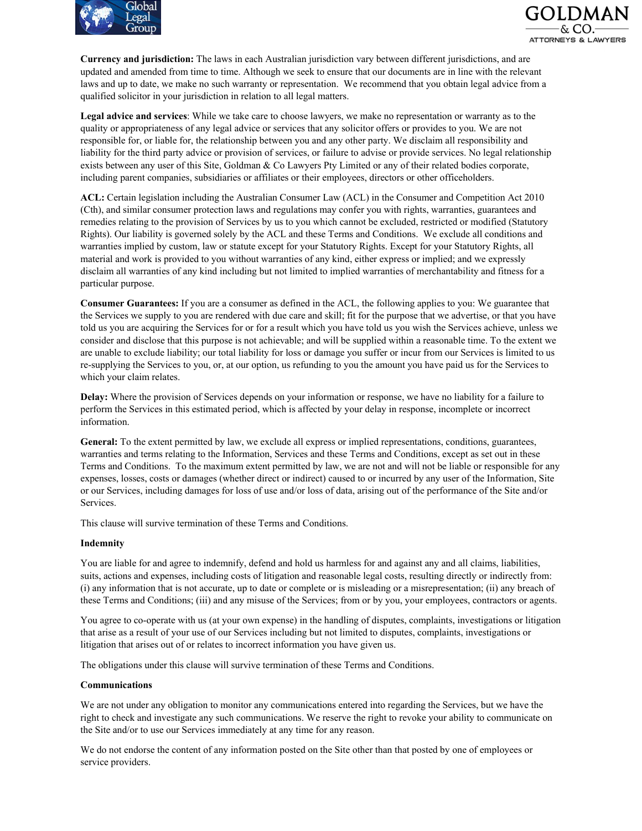



**Currency and jurisdiction:** The laws in each Australian jurisdiction vary between different jurisdictions, and are updated and amended from time to time. Although we seek to ensure that our documents are in line with the relevant laws and up to date, we make no such warranty or representation. We recommend that you obtain legal advice from a qualified solicitor in your jurisdiction in relation to all legal matters.

**Legal advice and services**: While we take care to choose lawyers, we make no representation or warranty as to the quality or appropriateness of any legal advice or services that any solicitor offers or provides to you. We are not responsible for, or liable for, the relationship between you and any other party. We disclaim all responsibility and liability for the third party advice or provision of services, or failure to advise or provide services. No legal relationship exists between any user of this Site, Goldman & Co Lawyers Pty Limited or any of their related bodies corporate, including parent companies, subsidiaries or affiliates or their employees, directors or other officeholders.

**ACL:** Certain legislation including the Australian Consumer Law (ACL) in the Consumer and Competition Act 2010 (Cth), and similar consumer protection laws and regulations may confer you with rights, warranties, guarantees and remedies relating to the provision of Services by us to you which cannot be excluded, restricted or modified (Statutory Rights). Our liability is governed solely by the ACL and these Terms and Conditions. We exclude all conditions and warranties implied by custom, law or statute except for your Statutory Rights. Except for your Statutory Rights, all material and work is provided to you without warranties of any kind, either express or implied; and we expressly disclaim all warranties of any kind including but not limited to implied warranties of merchantability and fitness for a particular purpose.

**Consumer Guarantees:** If you are a consumer as defined in the ACL, the following applies to you: We guarantee that the Services we supply to you are rendered with due care and skill; fit for the purpose that we advertise, or that you have told us you are acquiring the Services for or for a result which you have told us you wish the Services achieve, unless we consider and disclose that this purpose is not achievable; and will be supplied within a reasonable time. To the extent we are unable to exclude liability; our total liability for loss or damage you suffer or incur from our Services is limited to us re-supplying the Services to you, or, at our option, us refunding to you the amount you have paid us for the Services to which your claim relates.

**Delay:** Where the provision of Services depends on your information or response, we have no liability for a failure to perform the Services in this estimated period, which is affected by your delay in response, incomplete or incorrect information.

**General:** To the extent permitted by law, we exclude all express or implied representations, conditions, guarantees, warranties and terms relating to the Information, Services and these Terms and Conditions, except as set out in these Terms and Conditions. To the maximum extent permitted by law, we are not and will not be liable or responsible for any expenses, losses, costs or damages (whether direct or indirect) caused to or incurred by any user of the Information, Site or our Services, including damages for loss of use and/or loss of data, arising out of the performance of the Site and/or Services.

This clause will survive termination of these Terms and Conditions.

#### **Indemnity**

You are liable for and agree to indemnify, defend and hold us harmless for and against any and all claims, liabilities, suits, actions and expenses, including costs of litigation and reasonable legal costs, resulting directly or indirectly from: (i) any information that is not accurate, up to date or complete or is misleading or a misrepresentation; (ii) any breach of these Terms and Conditions; (iii) and any misuse of the Services; from or by you, your employees, contractors or agents.

You agree to co-operate with us (at your own expense) in the handling of disputes, complaints, investigations or litigation that arise as a result of your use of our Services including but not limited to disputes, complaints, investigations or litigation that arises out of or relates to incorrect information you have given us.

The obligations under this clause will survive termination of these Terms and Conditions.

#### **Communications**

We are not under any obligation to monitor any communications entered into regarding the Services, but we have the right to check and investigate any such communications. We reserve the right to revoke your ability to communicate on the Site and/or to use our Services immediately at any time for any reason.

We do not endorse the content of any information posted on the Site other than that posted by one of employees or service providers.